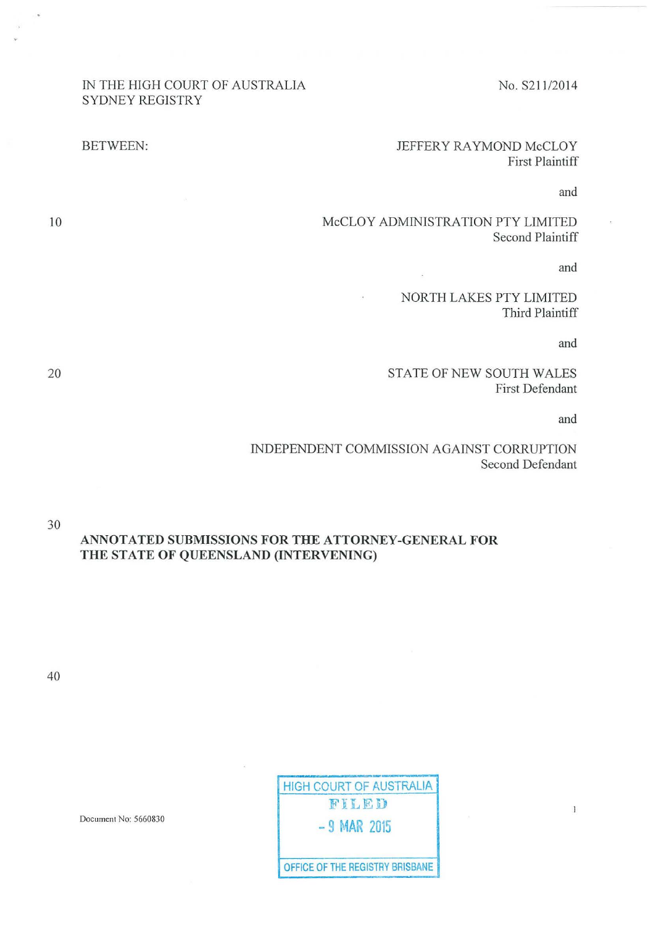#### IN THE HIGH COURT OF AUSTRALIA SYDNEY REGISTRY

# No. S211 /2014

## BETWEEN: JEFFERY RAYMOND McCLOY First Plaintiff

and

McCLOY ADMINISTRATION PTY LIMITED Second Plaintiff

 $\overline{\phantom{a}}$ 

and

NORTH LAKES PTY LIMITED Third Plaintiff

and

STATE OF NEW SOUTH WALES First Defendant

and

INDEPENDENT COMMISSION AGAINST CORRUPTION Second Defendant

30 ANNOTATED SUBMISSIONS FOR THE ATTORNEY-GENERAL FOR THE STATE OF QUEENSLAND (INTERVENING)

40

| <b>HIGH COURT OF AUSTRALIA</b>  |
|---------------------------------|
| FILED                           |
| $-9$ MAR 2015                   |
| OFFICE OF THE REGISTRY BRISBANE |

Document No: 5660830

10

20

 $\mathbf{1}$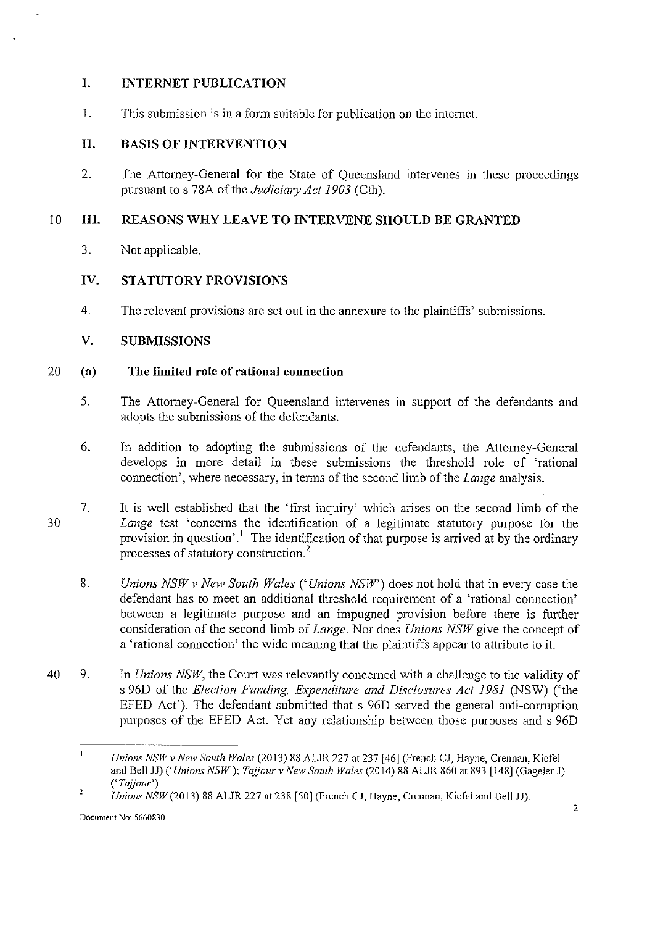## **I. INTERNET PUBLICATION**

1. This submission is in a form suitable for publication on the internet.

## **II. BASIS OF INTERVENTION**

2. The Attorney-General for the State of Queensland intervenes in these proceedings pursuant to s 78A of the *Judiciary Act 1903* (Cth).

## 10 **III. REASONS WHY LEAVE TO INTERVENE SHOULD BE GRANTED**

3. Not applicable.

## **IV. STATUTORY PROVISIONS**

4. The relevant provisions are set out in the annexure to the plaintiffs' submissions.

## **V. SUBMISSIONS**

#### 20 **(a) The limited role of rational connection**

- 5. The Attorney-General for Queensland intervenes in support of the defendants and adopts the submissions of the defendants.
- 6. In addition to adopting the submissions of the defendants, the Attorney-General develops in more detail in these submissions the threshold role of 'rational connection', where necessary, in terms of the second limb of the *Lange* analysis.
- 30 7. It is well established that the 'first inquiry' which arises on the second limb of the *Lange* test 'concerns the identification of a legitimate statutory purpose for the provision in question'.<sup>1</sup> The identification of that purpose is arrived at by the ordinary processes of statutory construction?
	- 8. *Unions NSW v New South Wales ('Unions NSW')* does not hold that in every case the defendant has to meet an additional threshold requirement of a 'rational connection' between a legitimate purpose and an impugned provision before there is further consideration of the second **limb** of *Lange.* Nor does *Unions NSW* give the concept of a 'rational connection' the wide meaning that the plaintiffs appear to attribute to it.
- 40 9. In *Unions NSW,* the Court was relevantly concerned with a challenge to the validity of s 96D of the *Election Funding, Expenditure and Disclosures Act 1981* (NSW) ('the EFED Act'). The defendant submitted that s 96D served the general anti-corruption purposes of the EFED Act. Yet any relationship between those purposes and s 96D

 $\mathbf{I}$ *Unions NSWv New South Wales* (2013) 88 ALJR 227 at 237 [46] (French CJ, Hayne, Crennan, Kiefel and Bell JJ) *('Unions NSW'); Tajjour v New South Wales* (20 14) 88 ALJR 860 at 893 [148] (Gageler J) (' *Tajjour').* 

<sup>2</sup>  *Unions NSW* (2013) 88 ALJR 227 at 238 [50] (French CJ, Hayne, Crennan, Kiefel and Bell JJ).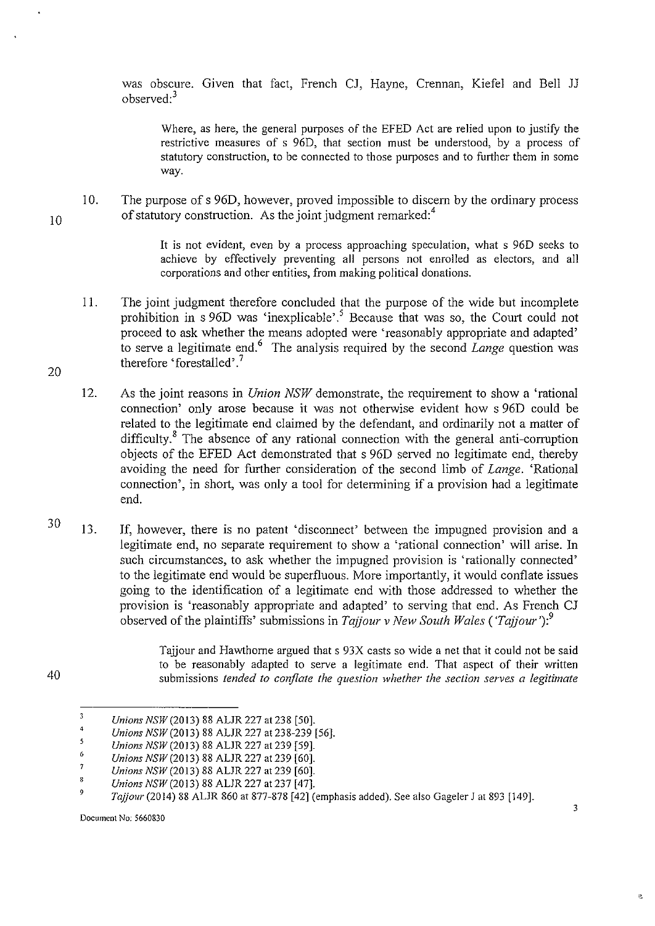was obscure. Given that fact, French CJ, Hayne, Crennan, Kiefel and Bell JJ observed:<sup>3</sup>

Where, as here, the general purposes of the EFED Act are relied upon to justify the restrictive measures of s 960, that section must be understood, by a process of statutory construction, to be connected to those purposes and to further them in some way.

10. The purpose of s 960, however, proved impossible to discern by the ordinary process of statutory construction. As the joint judgment remarked:<sup>4</sup>

> It is not evident, even by a process approaching speculation, what s 960 seeks to achieve by effectively preventing all persons not enrolled as electors, and all corporations and other entities, from making political donations.

- 11. The joint judgment therefore concluded that the purpose of the wide but incomplete prohibition in s 96D was 'inexplicable'.<sup>5</sup> Because that was so, the Court could not proceed to ask whether the means adopted were 'reasonably appropriate and adapted' to serve a legitimate end.6 The analysis required by the second *Lange* question was therefore 'forestalled'.<sup>7</sup>
- 12. As the joint reasons in *Union NSW* demonstrate, the requirement to show a 'rational connection' only arose because it was not otherwise evident how s 96D could be related to the legitimate end claimed by the defendant, and ordinarily not a matter of difficulty.<sup>8</sup> The absence of any rational connection with the general anti-corruption objects of the EFEO Act demonstrated that s 96D served no legitimate end, thereby avoiding the need for further consideration of the second limb of *Lange.* 'Rational connection', in short, was only a tool for determining if a provision had a legitimate end.
- 13. If, however, there is no patent 'disconnect' between the impugned provision and a legitimate end, no separate requirement to show a 'rational connection' will arise. In such circumstances, to ask whether the impugned provision is 'rationally connected' to the legitimate end would be superfluous. More importantly, it would conflate issues going to the identification of a legitimate end with those addressed to whether the provision is 'reasonably appropriate and adapted' to serving that end. As French CJ observed of the plaintiffs' submissions in *Tajjour* v *New South Wales* ( *'Tajjour* '):<sup>9</sup>

Tajjour and Hawthorne argued that s 93X casts so wide a net that it could not be said to be reasonably adapted to serve a legitimate end. That aspect of their written submissions *tended to conjlate the question whether the section serves a legitimate* 

10

20

30

40

<sup>3</sup>  *Unions NSW* (2013) 88 ALJR 227 at 238 [50].

<sup>4</sup>  *Unions NSW* (2013) 88 ALJR 227 at 238-239 [56].

<sup>5</sup>  6 *Unions NSW* (2013) 88 ALJR 227 at 239 [59].

<sup>7</sup>  *Unions NSW* (2013) 88 ALJR 227 at 239 [60].

*Unions NSW* (2013) 88 ALJR 227 at 239 [60].

<sup>8</sup>  *Unions NSW* (2013) 88 ALJR 227 at 237 [47].

<sup>9</sup>  *Tajjour* (2014) 88 ALJR 860 at 877-878 [42] (emphasis added). See also Gageler J at 893 [149].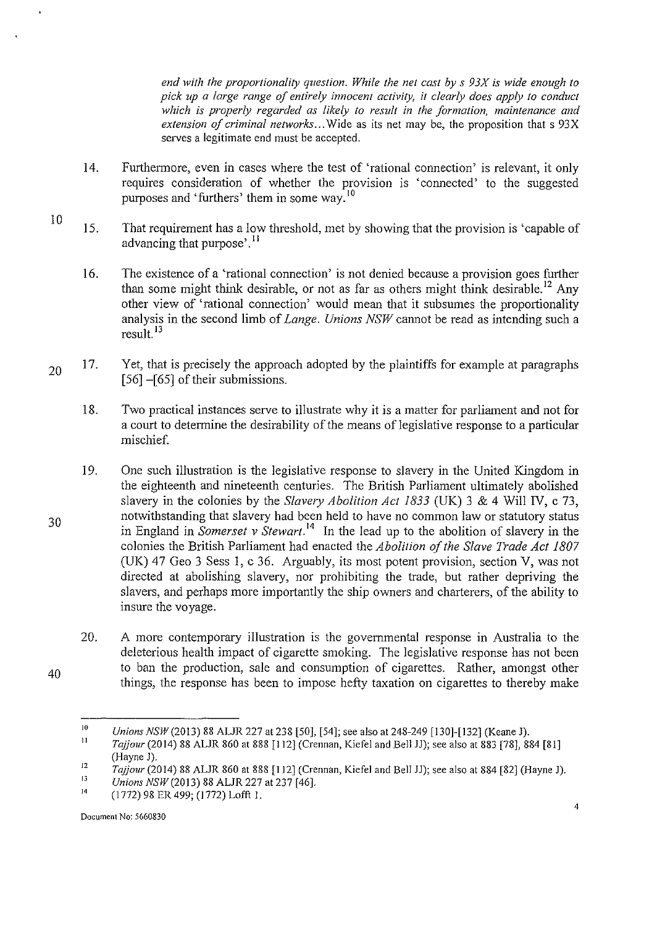*end with the proportionality question. While the net cast by s 93X is wide enough to pick up a large range of entirely innocent activity, it clearly does apply to conduct which is properly regarded as likely to result in the formation, maintenance and extension of criminal networks ...* Wide as its net may be, the proposition that s 93X serves a legitimate end must be accepted.

- 14. Furthermore, even in cases where the test of 'rational connection' is relevant, it only requires consideration of whether the provision is 'connected' to the suggested purposes and 'furthers' them in some way.<sup>10</sup>
- 10 15. That requirement has a low threshold, met by showing that the provision is 'capable of advancing that purpose'.<sup>11</sup>
	- 16. The existence of a 'rational connection' is not denied because a provision goes further than some might think desirable, or not as far as others might think desirable.<sup>12</sup> Any other view of 'rational connection' would mean that it subsumes the proportionality analysis in the second **limb** of *Lange. Unions NSW* cannot be read as intending such a result. 13
- 20 17. Yet, that is precisely the approach adopted by the plaintiffs for example at paragraphs [56] –[65] of their submissions.
	- 18. Two practical instances serve to illustrate why it is a matter for parliament and not for a court to determine the desirability of the means of legislative response to a particular mischief.
	- 19. One such illustration is the legislative response to slavery in the United Kingdom in the eighteenth and nineteenth centuries. The British Parliament ultimately abolished slavery in the colonies by the *Slavery Abolition Act 1833* (UK) 3 & 4 Will IV, c 73, notwithstanding that slavery had been held to have no common law or statutory status in England in *Somerset v Stewart* . 14 In the lead up to the abolition of slavery in the colonies the British Parliament had enacted the *Abolition of the Slave Trade Act 1807*  (UK) 47 Geo 3 Sess I, c 36. Arguably, its most potent provision, section V, was not directed at abolishing slavery, nor prohibiting the trade, but rather depriving the slavers, and perhaps more importantly the ship owners and charterers, of the ability to insure the voyage.
		- 20. A more contemporary illustration is the governmental response **in** Australia to the deleterious health impact of cigarette smoking. The legislative response has not been to ban the production, sale and consumption of cigarettes. Rather, amongst other things, the response has been to impose hefty taxation on cigarettes to thereby make

<sup>10</sup>  *Unions NSW* (2013) 88 ALJR 227 at 238 [50], [54]; see also at 248-249 [130]-[132] (Keane J).

II *Tajjour* (2014) 88 ALJR 860 at 888 [112] (Crennan, Kiefel and Bell JJ); see also at 883 [78], 884 [81] (Hayne J).

<sup>12</sup>  *Tajjour* (2014) 88 ALJR 860 at 888 [112] (Crennan, Kiefel and Bell JJ); see also at 884 [82] (Hayne J).

<sup>13</sup>  *Unions* NSW(2013) 88 ALJR 227 at 237 [46].

<sup>14</sup>  (1772) 98 ER 499; (1772) Lofft 1.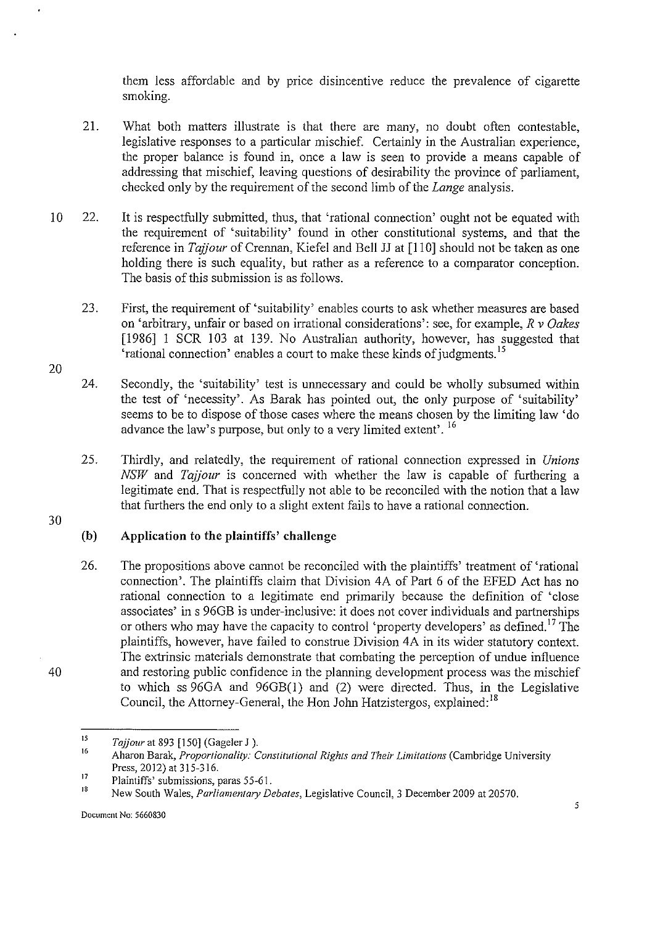them less affordable and by price disincentive reduce the prevalence of cigarette smoking.

- 21. What both matters illustrate is that there are many, no doubt often contestable, legislative responses to a particular mischief. Certainly in the Australian experience, the proper balance is found in, once a law is seen to provide a means capable of addressing that mischief, leaving questions of desirability the province of parliament, checked only by the requirement of the second limb of the *Lange* analysis.
- 10 22. It is respectfully submitted, thus, that 'rational connection' ought not be equated with the requirement of 'suitability' found in other constitutional systems, and that the reference in *Tajjour* of Crennan, Kiefel and Bell JJ at [110] should not be taken as one holding there is such equality, but rather as a reference to a comparator conception. The basis of this submission is as follows.
	- 23. First, the requirement of 'suitability' enables courts to ask whether measures are based on 'arbitrary, unfair or based on irrational considerations': see, for example, *R v Oakes*  [1986] 1 SCR 103 at 139. No Australian authority, however, has suggested that 'rational connection' enables a court to make these kinds of judgments. <sup>15</sup>
	- 24. Secondly, the 'suitability' test is unnecessary and could be wholly subsumed within the test of 'necessity'. As Barak has pointed out, the only purpose of 'suitability' seems to be to dispose of those cases where the means chosen by the limiting law 'do advance the law's purpose, but only to a very limited extent'. <sup>16</sup>
	- 25. Thirdly, and relatedly, the requirement of rational connection expressed in *Unions NSW* and *Tajjour* is concerned with whether the law is capable of furthering a legitimate end. That is respectfully not able to be reconciled with the notion that a law that furthers the end only to a slight extent fails to have a rational connection.

30

40

20

## **(b) Application to the plaintiffs' challenge**

26. The propositions above cannot be reconciled with the plaintiffs' treatment of 'rational connection'. The plaintiffs claim that Division 4A of Part 6 of the EFED Act has no rational connection to a legitimate end primarily because the definition of 'close associates' in s 96GB is under-inclusive: it does not cover individuals and partnerships or others who may have the capacity to control 'property developers' as defined.<sup>17</sup> The plaintiffs, however, have failed to construe Division 4A in its wider statutory context. The extrinsic materials demonstrate that combating the perception of undue influence and restoring public confidence in the planning development process was the mischief to which ss 96GA and 96GB(l) and (2) were directed. Thus, in the Legislative Council, the Attorney-General, the Hon John Hatzistergos, explained:<sup>18</sup>

<sup>15</sup>  *Tajjour* at 893 [150] (Gageler J ).

<sup>16</sup>  **Aharon Barak,** *Proportionality: Constitutional Rights and Their Limitations* **(Cambridge University**  Press, 2012) at 315-316.

<sup>17</sup>  Plaintiffs' submissions, paras 55-61.

<sup>18</sup>  New South Wales, *Parliamentary Debates,* Legislative Council, 3 December 2009 at 20570.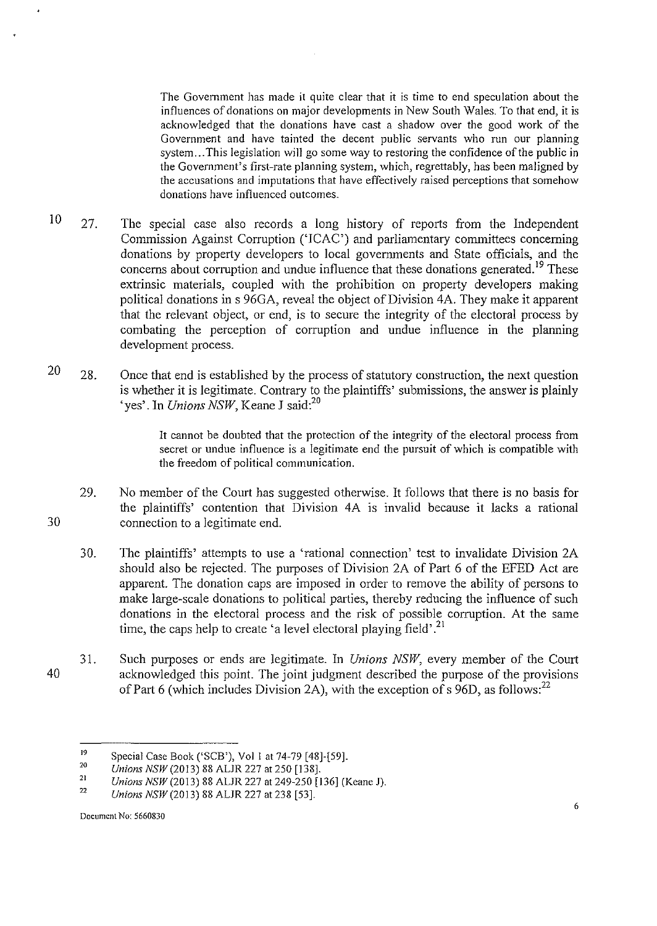The Government has made it quite clear that it is time to end speculation about the influences of donations on major developments in New South Wales. To that end, it is acknowledged that the donations have cast a shadow over the good work of the Government and have tainted the decent public servants who run our planning system ... This legislation will go some way to restoring the confidence of the public in the Government's first-rate planning system, which, regrettably, has been maligned by the accusations and imputations that have effectively raised perceptions that somehow donations have influenced outcomes.

- 10 27. The special case also records a long history of reports from the Independent Commission Against Corruption ('ICAC') and parliamentary committees concerning donations by property developers to local governments and State officials, and the concerns about corruption and undue influence that these donations generated.<sup>19</sup> These extrinsic materials, coupled with the prohibition on property developers making political donations in s 96GA, reveal the object of Division 4A. They make it apparent that the relevant object, or end, is to secure the integrity of the electoral process by combating the perception of conuption and undue influence in the planning development process.
- 20 28. Once that end is established by the process of statutory construction, the next question is whether it is legitimate. Contrary to the plaintiffs' submissions, the answer is plainly 'yes'. In *Unions NSW,* Keane J said:<sup>20</sup>

It cannot be doubted that the protection of the integrity of the electoral process from secret or undue influence is a legitimate end the pursuit of which is compatible with the freedom of political communication.

- 30 29. No member of the Court has suggested otherwise. It follows that there is no basis for the plaintiffs' contention that Division 4A is invalid because it lacks a rational connection to a legitimate end.
	- 30. The plaintiffs' attempts to use a 'rational connection' test to invalidate Division 2A should also be rejected. The purposes of Division 2A of Part 6 of the EFED Act are apparent. The donation caps are imposed in order to remove the ability of persons to make large-scale donations to political parties, thereby reducing the influence of such donations in the electoral process and the risk of possible corruption. At the same time, the caps help to create 'a level electoral playing field'.<sup>21</sup>
- 40 31. Such purposes or ends are legitimate. In *Unions NSW,* every member of the Court acknowledged this point. The joint judgment described the purpose of the provisions of Part 6 (which includes Division 2A), with the exception of s 96D, as follows:  $^{22}$

<sup>19</sup>  Special Case Book ('SCB'), Vol I at 74-79 [48]-[59].

<sup>20</sup>  *Unions NSW (2013) 88 ALJR 227 at 250 [138].* 

<sup>21</sup>  22 *Unions NSW* (2013) 88 ALJR 227 at 249-250 [136] (Keane J).

*Unions NSW(2013)* 88 ALJR 227 at 238 [53].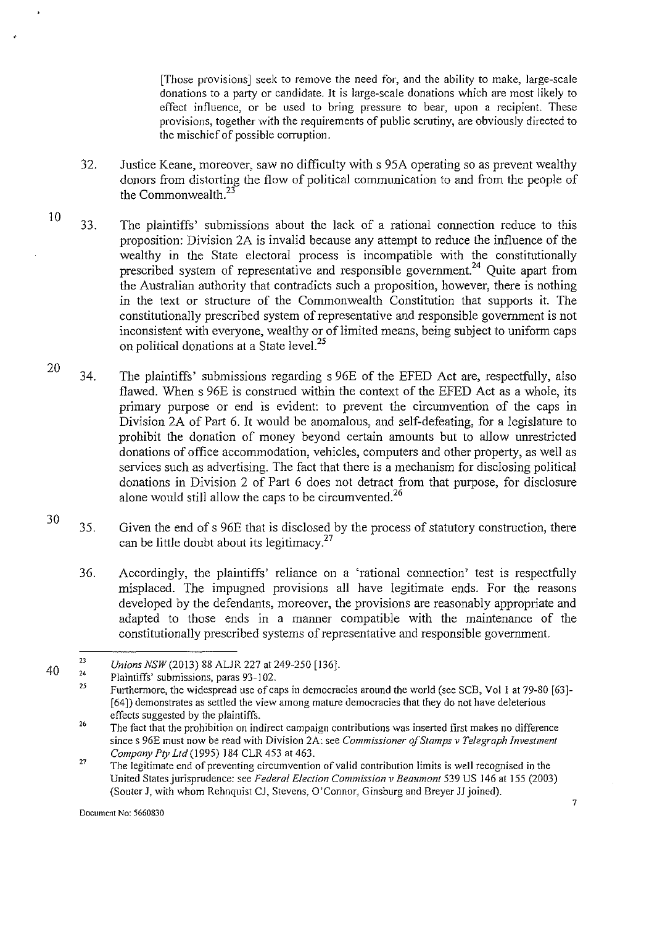[Those provisions] seek to remove the need for, and the ability to make, large-scale donations to a party or candidate. It is large-scale donations which are most likely to effect influence, or be used to bring pressure to bear, upon a recipient. These provisions, together with the requirements of public scrutiny, are obviously directed to the mischief of possible corruption.

- 32. Justice Keane, moreover, saw no difficulty with s 95A operating so as prevent wealthy donors from distorting the flow of political communication to and from the people of the Commonwealth.<sup>23</sup>
- 10 33. The plaintiffs' submissions about the lack of a rational connection reduce to this proposition: Division 2A is invalid because any attempt to reduce the influence of the wealthy in the State electoral process is incompatible with the constitutionally prescribed system of representative and responsible government.<sup>24</sup> Quite apart from the Australian authority that contradicts such a proposition, however, there is nothing in the text or structure of the Commonwealth Constitution that supports it. The constitutionally prescribed system of representative and responsible government is not inconsistent with everyone, wealthy or of limited means, being subject to uniform caps on political donations at a State level.<sup>25</sup>
- 20 34. The plaintiffs' submissions regarding s 96E of the EFED Act are, respectfully, also flawed. When s 96E is construed within the context of the EFED Act as a whole, its primary purpose or end is evident: to prevent the circumvention of the caps in Division 2A of Part 6. It would be anomalous, and self-defeating, for a legislature to prohibit the donation of money beyond certain amounts but to allow unrestricted donations of office accommodation, vehicles, computers and other property, as well as services such as advertising. The fact that there is a mechanism for disclosing political donations in Division 2 of Part 6 does not detract from that purpose, for disclosure alone would still allow the caps to be circumvented.<sup>26</sup>
- 30 35. Given the end of s 96E that is disclosed by the process of statutory construction, there can be little doubt about its legitimacy. $27$ 
	- 36. Accordingly, the plaintiffs' reliance on a 'rational connection' test is respectfully misplaced. The impugned provisions all have legitimate ends. For the reasons developed by the defendants, moreover, the provisions are reasonably appropriate and adapted to those ends in a manner compatible with the maintenance of the constitutionally prescribed systems of representative and responsible government.

**Document No: 5660830** 

<sup>40</sup>  23 *Unions NSW* (2013) 88 ALJR 227 at 249-250 [136].

<sup>24</sup>  Plaintiffs' submissions, paras 93-102.

<sup>25</sup>  Furthermore, the widespread use of caps in democracies around the world (see SCB, Vol 1 at 79-80 [63]-[64]) demonstrates as settled the view among mature democracies that they do not have deleterious effects suggested by the plaintiffs.

<sup>26</sup>  **The fact that the prohibition on indirect campaign contributions was inserted first makes no difference since s 96E must now be read with Division 2A: see** *Commissioner of Stamps v Telegraph Investment Company Pty Ltd* (1995) 184 CLR 453 at 463.

<sup>27</sup>  **The legitimate end of preventing circumvention of valid contribution limits is well recognised in the**  United States jurisprudence: see *Federal Election Commission v Beaumont* 539 US 146 at 155 (2003) (Souter J, with whom Rehnquist CJ, Stevens, O'Connor, Ginsburg and Breyer JJ joined).